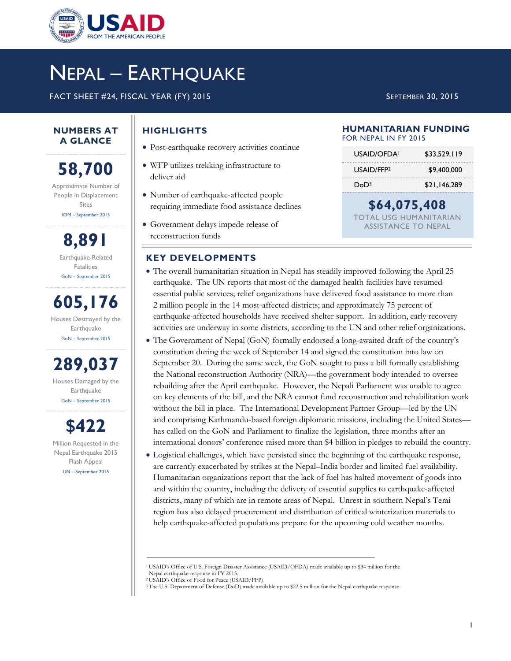

# NEPAL – EARTHQUAKE

FACT SHEET #24, FISCAL YEAR (FY) 2015 SEPTEMBER 30, 2015

#### **NUMBERS AT A GLANCE**

**58,700** Approximate Number of People in Displacement Sites IOM – September 2015

**8,891** Earthquake-Related Fatalities GoN – September 2015

**605,176** Houses Destroyed by the **Earthquake** GoN – September 2015

**289,037** Houses Damaged by the Earthquake GoN – September 2015

**\$422** Million Requested in the Nepal Earthquake 2015 Flash Appeal UN – September 2015

# **HIGHLIGHTS**

- Post-earthquake recovery activities continue
- WFP utilizes trekking infrastructure to deliver aid
- Number of earthquake-affected people requiring immediate food assistance declines
- Government delays impede release of reconstruction funds

## **KEY DEVELOPMENTS**

- The overall humanitarian situation in Nepal has steadily improved following the April 25 earthquake. The UN reports that most of the damaged health facilities have resumed essential public services; relief organizations have delivered food assistance to more than 2 million people in the 14 most-affected districts; and approximately 75 percent of earthquake-affected households have received shelter support. In addition, early recovery activities are underway in some districts, according to the UN and other relief organizations.
- The Government of Nepal (GoN) formally endorsed a long-awaited draft of the country's constitution during the week of September 14 and signed the constitution into law on September 20. During the same week, the GoN sought to pass a bill formally establishing the National reconstruction Authority (NRA)—the government body intended to oversee rebuilding after the April earthquake. However, the Nepali Parliament was unable to agree on key elements of the bill, and the NRA cannot fund reconstruction and rehabilitation work without the bill in place. The International Development Partner Group—led by the UN and comprising Kathmandu-based foreign diplomatic missions, including the United States has called on the GoN and Parliament to finalize the legislation, three months after an international donors' conference raised more than \$4 billion in pledges to rebuild the country.
- Logistical challenges, which have persisted since the beginning of the earthquake response, are currently exacerbated by strikes at the Nepal–India border and limited fuel availability. Humanitarian organizations report that the lack of fuel has halted movement of goods into and within the country, including the delivery of essential supplies to earthquake-affected districts, many of which are in remote areas of Nepal. Unrest in southern Nepal's Terai region has also delayed procurement and distribution of critical winterization materials to help earthquake-affected populations prepare for the upcoming cold weather months.

#### **HUMANITARIAN FUNDING** FOR NEPAL IN FY 2015

| USAID/OFDA!            | \$33,529,119 |
|------------------------|--------------|
| USAID/FFP <sub>2</sub> | \$9,400,000  |
| DoD3                   | \$21,146,289 |

**\$64,075,408**  TOTAL USG HUMANITARIAN ASSISTANCE TO NEPAL

<sup>1</sup>USAID's Office of U.S. Foreign Disaster Assistance (USAID/OFDA) made available up to \$34 million for the Nepal earthquake response in FY 2015.

<sup>2</sup>USAID's Office of Food for Peace (USAID/FFP)

<sup>&</sup>lt;sup>3</sup>The U.S. Department of Defense (DoD) made available up to \$22.5 million for the Nepal earthquake response.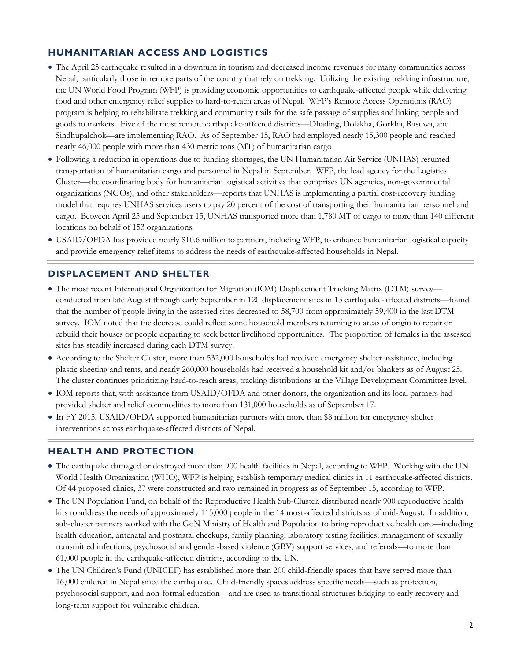## **HUMANITARIAN ACCESS AND LOGISTICS**

- The April 25 earthquake resulted in a downturn in tourism and decreased income revenues for many communities across Nepal, particularly those in remote parts of the country that rely on trekking. Utilizing the existing trekking infrastructure, the UN World Food Program (WFP) is providing economic opportunities to earthquake-affected people while delivering food and other emergency relief supplies to hard-to-reach areas of Nepal. WFP's Remote Access Operations (RAO) program is helping to rehabilitate trekking and community trails for the safe passage of supplies and linking people and goods to markets. Five of the most remote earthquake-affected districts—Dhading, Dolakha, Gorkha, Rasuwa, and Sindhupalchok—are implementing RAO. As of September 15, RAO had employed nearly 15,300 people and reached nearly 46,000 people with more than 430 metric tons (MT) of humanitarian cargo.
- Following a reduction in operations due to funding shortages, the UN Humanitarian Air Service (UNHAS) resumed transportation of humanitarian cargo and personnel in Nepal in September. WFP, the lead agency for the Logistics Cluster—the coordinating body for humanitarian logistical activities that comprises UN agencies, non-governmental organizations (NGOs), and other stakeholders—reports that UNHAS is implementing a partial cost-recovery funding model that requires UNHAS services users to pay 20 percent of the cost of transporting their humanitarian personnel and cargo. Between April 25 and September 15, UNHAS transported more than 1,780 MT of cargo to more than 140 different locations on behalf of 153 organizations.
- USAID/OFDA has provided nearly \$10.6 million to partners, including WFP, to enhance humanitarian logistical capacity and provide emergency relief items to address the needs of earthquake-affected households in Nepal.

## **DISPLACEMENT AND SHELTER**

- The most recent International Organization for Migration (IOM) Displacement Tracking Matrix (DTM) survey conducted from late August through early September in 120 displacement sites in 13 earthquake-affected districts—found that the number of people living in the assessed sites decreased to 58,700 from approximately 59,400 in the last DTM survey. IOM noted that the decrease could reflect some household members returning to areas of origin to repair or rebuild their houses or people departing to seek better livelihood opportunities. The proportion of females in the assessed sites has steadily increased during each DTM survey.
- According to the Shelter Cluster, more than 532,000 households had received emergency shelter assistance, including plastic sheeting and tents, and nearly 260,000 households had received a household kit and/or blankets as of August 25. The cluster continues prioritizing hard-to-reach areas, tracking distributions at the Village Development Committee level.
- IOM reports that, with assistance from USAID/OFDA and other donors, the organization and its local partners had provided shelter and relief commodities to more than 131,000 households as of September 17.
- In FY 2015, USAID/OFDA supported humanitarian partners with more than \$8 million for emergency shelter interventions across earthquake-affected districts of Nepal.

#### **HEALTH AND PROTECTION**

- The earthquake damaged or destroyed more than 900 health facilities in Nepal, according to WFP. Working with the UN World Health Organization (WHO), WFP is helping establish temporary medical clinics in 11 earthquake-affected districts. Of 44 proposed clinics, 37 were constructed and two remained in progress as of September 15, according to WFP.
- The UN Population Fund, on behalf of the Reproductive Health Sub-Cluster, distributed nearly 900 reproductive health kits to address the needs of approximately 115,000 people in the 14 most-affected districts as of mid-August. In addition, sub-cluster partners worked with the GoN Ministry of Health and Population to bring reproductive health care—including health education, antenatal and postnatal checkups, family planning, laboratory testing facilities, management of sexually transmitted infections, psychosocial and gender-based violence (GBV) support services, and referrals—to more than 61,000 people in the earthquake-affected districts, according to the UN.
- The UN Children's Fund (UNICEF) has established more than 200 child-friendly spaces that have served more than 16,000 children in Nepal since the earthquake. Child-friendly spaces address specific needs—such as protection, psychosocial support, and non-formal education—and are used as transitional structures bridging to early recovery and long‐term support for vulnerable children.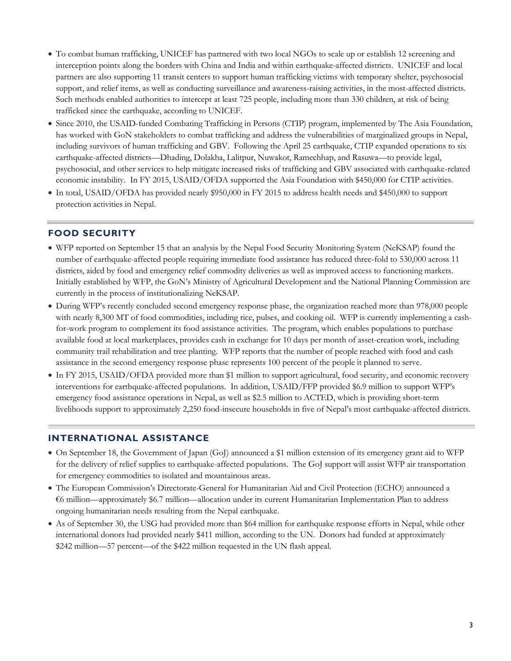- To combat human trafficking, UNICEF has partnered with two local NGOs to scale up or establish 12 screening and interception points along the borders with China and India and within earthquake-affected districts. UNICEF and local partners are also supporting 11 transit centers to support human trafficking victims with temporary shelter, psychosocial support, and relief items, as well as conducting surveillance and awareness-raising activities, in the most-affected districts. Such methods enabled authorities to intercept at least 725 people, including more than 330 children, at risk of being trafficked since the earthquake, according to UNICEF.
- Since 2010, the USAID-funded Combating Trafficking in Persons (CTIP) program, implemented by The Asia Foundation, has worked with GoN stakeholders to combat trafficking and address the vulnerabilities of marginalized groups in Nepal, including survivors of human trafficking and GBV. Following the April 25 earthquake, CTIP expanded operations to six earthquake-affected districts—Dhading, Dolakha, Lalitpur, Nuwakot, Ramechhap, and Rasuwa—to provide legal, psychosocial, and other services to help mitigate increased risks of trafficking and GBV associated with earthquake-related economic instability. In FY 2015, USAID/OFDA supported the Asia Foundation with \$450,000 for CTIP activities.
- In total, USAID/OFDA has provided nearly \$950,000 in FY 2015 to address health needs and \$450,000 to support protection activities in Nepal.

#### **FOOD SECURITY**

- WFP reported on September 15 that an analysis by the Nepal Food Security Monitoring System (NeKSAP) found the number of earthquake-affected people requiring immediate food assistance has reduced three-fold to 530,000 across 11 districts, aided by food and emergency relief commodity deliveries as well as improved access to functioning markets. Initially established by WFP, the GoN's Ministry of Agricultural Development and the National Planning Commission are currently in the process of institutionalizing NeKSAP.
- During WFP's recently concluded second emergency response phase, the organization reached more than 978,000 people with nearly 8,300 MT of food commodities, including rice, pulses, and cooking oil. WFP is currently implementing a cashfor-work program to complement its food assistance activities. The program, which enables populations to purchase available food at local marketplaces, provides cash in exchange for 10 days per month of asset-creation work, including community trail rehabilitation and tree planting. WFP reports that the number of people reached with food and cash assistance in the second emergency response phase represents 100 percent of the people it planned to serve.
- In FY 2015, USAID/OFDA provided more than \$1 million to support agricultural, food security, and economic recovery interventions for earthquake-affected populations. In addition, USAID/FFP provided \$6.9 million to support WFP's emergency food assistance operations in Nepal, as well as \$2.5 million to ACTED, which is providing short-term livelihoods support to approximately 2,250 food-insecure households in five of Nepal's most earthquake-affected districts.

#### **INTERNATIONAL ASSISTANCE**

- On September 18, the Government of Japan (GoJ) announced a \$1 million extension of its emergency grant aid to WFP for the delivery of relief supplies to earthquake-affected populations. The GoJ support will assist WFP air transportation for emergency commodities to isolated and mountainous areas.
- The European Commission's Directorate-General for Humanitarian Aid and Civil Protection (ECHO) announced a €6 million—approximately \$6.7 million—allocation under its current Humanitarian Implementation Plan to address ongoing humanitarian needs resulting from the Nepal earthquake.
- As of September 30, the USG had provided more than \$64 million for earthquake response efforts in Nepal, while other international donors had provided nearly \$411 million, according to the UN. Donors had funded at approximately \$242 million—57 percent—of the \$422 million requested in the UN flash appeal.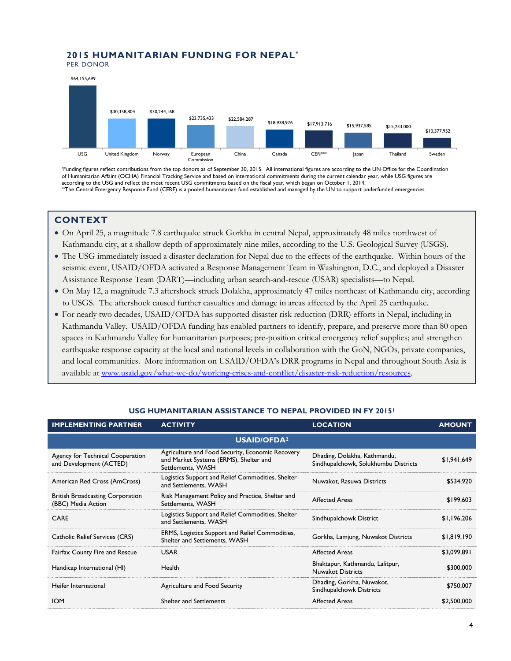# **2015 HUMANITARIAN FUNDING FOR NEPAL\***

PER DONOR



\*Funding figures reflect contributions from the top donors as of September 30, 2015. All international figures are according to the UN Office for the Coordination of Humanitarian Affairs (OCHA) Financial Tracking Service and based on international commitments during the current calendar year, while USG figures are according to the USG and reflect the most recent USG commitments based on the fiscal year, which began on October 1, 2014. \*\*The Central Emergency Response Fund (CERF) is a pooled humanitarian fund established and managed by the UN to support underfunded emergencies.

#### **CONTEXT**

- On April 25, a magnitude 7.8 earthquake struck Gorkha in central Nepal, approximately 48 miles northwest of Kathmandu city, at a shallow depth of approximately nine miles, according to the U.S. Geological Survey (USGS).
- The USG immediately issued a disaster declaration for Nepal due to the effects of the earthquake. Within hours of the seismic event, USAID/OFDA activated a Response Management Team in Washington, D.C., and deployed a Disaster Assistance Response Team (DART)—including urban search-and-rescue (USAR) specialists—to Nepal.
- On May 12, a magnitude 7.3 aftershock struck Dolakha, approximately 47 miles northeast of Kathmandu city, according to USGS. The aftershock caused further casualties and damage in areas affected by the April 25 earthquake.
- For nearly two decades, USAID/OFDA has supported disaster risk reduction (DRR) efforts in Nepal, including in Kathmandu Valley. USAID/OFDA funding has enabled partners to identify, prepare, and preserve more than 80 open spaces in Kathmandu Valley for humanitarian purposes; pre-position critical emergency relief supplies; and strengthen earthquake response capacity at the local and national levels in collaboration with the GoN, NGOs, private companies, and local communities. More information on USAID/OFDA's DRR programs in Nepal and throughout South Asia is available at [www.usaid.gov/what-we-do/working-crises-and-conflict/disaster-risk-reduction/resources.](http://www.usaid.gov/what-we-do/working-crises-and-conflict/disaster-risk-reduction/resources)

| <b>IMPLEMENTING PARTNER</b>                                   | <b>ACTIVITY</b>                                                                                                 | <b>LOCATION</b>                                                      | <b>AMOUNT</b> |  |
|---------------------------------------------------------------|-----------------------------------------------------------------------------------------------------------------|----------------------------------------------------------------------|---------------|--|
| <b>USAID/OFDA<sup>2</sup></b>                                 |                                                                                                                 |                                                                      |               |  |
| Agency for Technical Cooperation<br>and Development (ACTED)   | Agriculture and Food Security, Economic Recovery<br>and Market Systems (ERMS), Shelter and<br>Settlements, WASH | Dhading, Dolakha, Kathmandu,<br>Sindhupalchowk, Solukhumbu Districts | \$1,941,649   |  |
| American Red Cross (AmCross)                                  | Logistics Support and Relief Commodities, Shelter<br>and Settlements, WASH                                      | Nuwakot, Rasuwa Districts                                            | \$534,920     |  |
| <b>British Broadcasting Corporation</b><br>(BBC) Media Action | Risk Management Policy and Practice, Shelter and<br>Settlements, WASH                                           | <b>Affected Areas</b>                                                | \$199,603     |  |
| <b>CARE</b>                                                   | Logistics Support and Relief Commodities, Shelter<br>and Settlements, WASH                                      | Sindhupalchowk District                                              | \$1,196,206   |  |
| Catholic Relief Services (CRS)                                | ERMS, Logistics Support and Relief Commodities,<br>Shelter and Settlements, WASH                                | Gorkha, Lamjung, Nuwakot Districts                                   | \$1,819,190   |  |
| Fairfax County Fire and Rescue                                | <b>USAR</b>                                                                                                     | <b>Affected Areas</b>                                                | \$3,099,891   |  |
| Handicap International (HI)                                   | Health                                                                                                          | Bhaktapur, Kathmandu, Lalitpur,<br><b>Nuwakot Districts</b>          | \$300,000     |  |
| Heifer International                                          | Agriculture and Food Security                                                                                   | Dhading, Gorkha, Nuwakot,<br>Sindhupalchowk Districts                | \$750,007     |  |
| <b>IOM</b>                                                    | <b>Shelter and Settlements</b>                                                                                  | <b>Affected Areas</b>                                                | \$2,500,000   |  |

#### **USG HUMANITARIAN ASSISTANCE TO NEPAL PROVIDED IN FY 2015<sup>1</sup>**